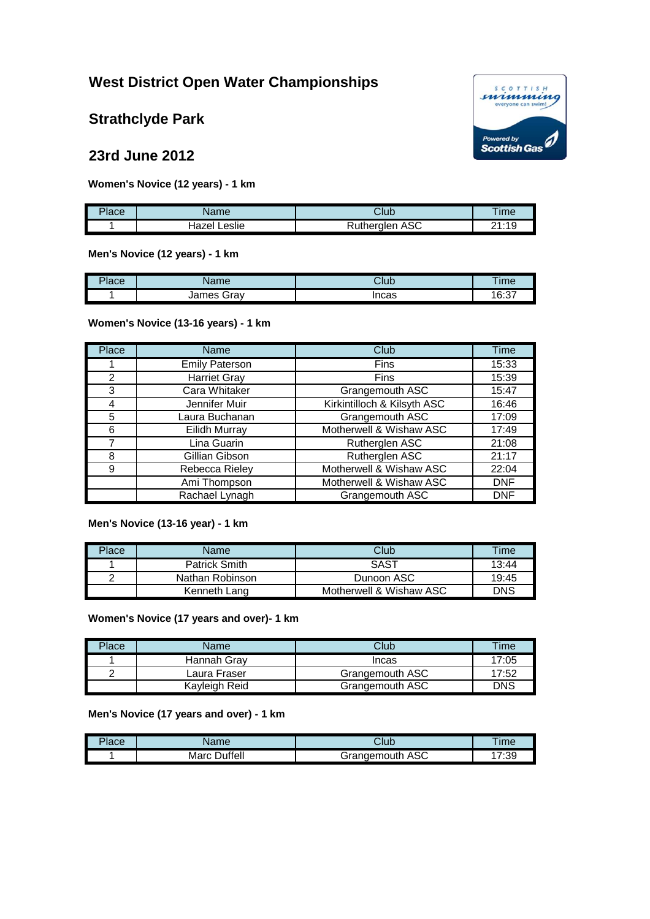# **West District Open Water Championships**

**Strathclyde Park**

# **23rd June 2012**

**Women's Novice (12 years) - 1 km**

| Place | Name            | Club                         | ime              |
|-------|-----------------|------------------------------|------------------|
|       | Leslie<br>Hazer | $\sim$<br>ในtheralen<br>ASU. | $-10$<br>ົາ<br>. |

**Men's Novice (12 years) - 1 km**

| Place | ame                           | Club  | <b>Ime</b>   |
|-------|-------------------------------|-------|--------------|
|       | lomoc<br>こいへい<br>JIdV<br>116L | Incas | 16.27<br>∪.∪ |

**Women's Novice (13-16 years) - 1 km**

| Place          | Name                  | Club                        | <b>Time</b> |
|----------------|-----------------------|-----------------------------|-------------|
|                | <b>Emily Paterson</b> | <b>Fins</b>                 | 15:33       |
| $\mathfrak{p}$ | <b>Harriet Gray</b>   | <b>Fins</b>                 | 15:39       |
| 3              | Cara Whitaker         | Grangemouth ASC             | 15:47       |
| 4              | Jennifer Muir         | Kirkintilloch & Kilsyth ASC | 16:46       |
| 5              | Laura Buchanan        | Grangemouth ASC             | 17:09       |
| 6              | <b>Eilidh Murray</b>  | Motherwell & Wishaw ASC     | 17:49       |
|                | Lina Guarin           | Rutherglen ASC              | 21:08       |
| 8              | Gillian Gibson        | Rutherglen ASC              | 21:17       |
| 9              | Rebecca Rieley        | Motherwell & Wishaw ASC     | 22:04       |
|                | Ami Thompson          | Motherwell & Wishaw ASC     | <b>DNF</b>  |
|                | Rachael Lynagh        | Grangemouth ASC             | <b>DNF</b>  |

**Men's Novice (13-16 year) - 1 km**

| Place | Name            | Club                    | Time       |
|-------|-----------------|-------------------------|------------|
|       | Patrick Smith   | SAST                    | 13:44      |
|       | Nathan Robinson | Dunoon ASC              | 19:45      |
|       | Kenneth Lang    | Motherwell & Wishaw ASC | <b>DNS</b> |

**Women's Novice (17 years and over)- 1 km**

| Place | Name          | ડીub            | <b>Time</b> |
|-------|---------------|-----------------|-------------|
|       | Hannah Grav   | Incas           | 7:05        |
|       | Laura Fraser  | Grangemouth ASC | 17:52       |
|       | Kayleigh Reid | Grangemouth ASC | DNS         |

#### **Men's Novice (17 years and over) - 1 km**

| $P$ ace | ame.              | ડાub                                      | ıme       |
|---------|-------------------|-------------------------------------------|-----------|
|         | uffell\<br>$\sim$ | $\sim$<br>$\cdot$ -irangemouth<br>` ASU 1 | 00.71<br> |

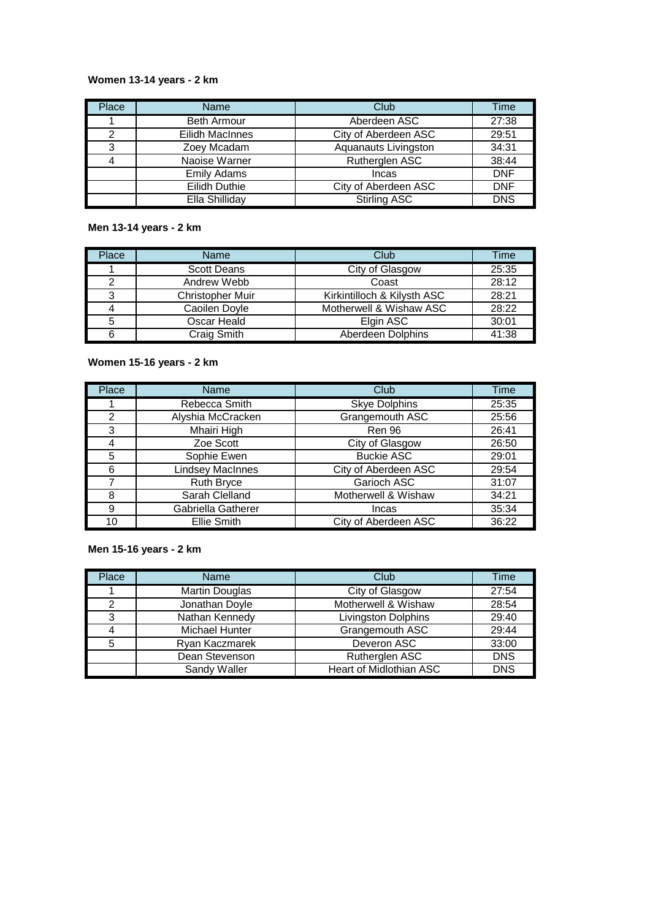# **Women 13-14 years - 2 km**

| Place | Name                 | Club                 | Time       |
|-------|----------------------|----------------------|------------|
|       | <b>Beth Armour</b>   | Aberdeen ASC         | 27:38      |
| 2     | Eilidh MacInnes      | City of Aberdeen ASC | 29:51      |
| 3     | Zoey Mcadam          | Aquanauts Livingston | 34:31      |
|       | Naoise Warner        | Rutherglen ASC       | 38:44      |
|       | <b>Emily Adams</b>   | Incas                | <b>DNF</b> |
|       | <b>Eilidh Duthie</b> | City of Aberdeen ASC | <b>DNF</b> |
|       | Ella Shilliday       | <b>Stirling ASC</b>  | <b>DNS</b> |

## **Men 13-14 years - 2 km**

| Place | Name               | Club                        | Гіmе  |
|-------|--------------------|-----------------------------|-------|
|       | <b>Scott Deans</b> | City of Glasgow             | 25:35 |
|       | Andrew Webb        | Coast                       | 28:12 |
| 3     | Christopher Muir   | Kirkintilloch & Kilysth ASC | 28:21 |
|       | Caoilen Doyle      | Motherwell & Wishaw ASC     | 28:22 |
|       | Oscar Heald        | Elgin ASC                   | 30:01 |
|       | Craig Smith        | Aberdeen Dolphins           | 41:38 |

#### **Women 15-16 years - 2 km**

| Place | Name                    | Club                 | Time  |
|-------|-------------------------|----------------------|-------|
|       | Rebecca Smith           | <b>Skye Dolphins</b> | 25:35 |
| 2     | Alyshia McCracken       | Grangemouth ASC      | 25:56 |
| 3     | Mhairi High             | Ren 96               | 26:41 |
| 4     | Zoe Scott               | City of Glasgow      | 26:50 |
| 5     | Sophie Ewen             | <b>Buckie ASC</b>    | 29:01 |
| 6     | <b>Lindsey MacInnes</b> | City of Aberdeen ASC | 29:54 |
| 7     | <b>Ruth Bryce</b>       | Garioch ASC          | 31:07 |
| 8     | Sarah Clelland          | Motherwell & Wishaw  | 34:21 |
| 9     | Gabriella Gatherer      | Incas                | 35:34 |
| 10    | Ellie Smith             | City of Aberdeen ASC | 36:22 |

## **Men 15-16 years - 2 km**

| Place | Name                  | Club                       | Time       |
|-------|-----------------------|----------------------------|------------|
|       | <b>Martin Douglas</b> | City of Glasgow            | 27:54      |
| っ     | Jonathan Doyle        | Motherwell & Wishaw        | 28:54      |
| 3     | Nathan Kennedy        | <b>Livingston Dolphins</b> | 29:40      |
|       | Michael Hunter        | Grangemouth ASC            | 29:44      |
|       | Ryan Kaczmarek        | Deveron ASC                | 33:00      |
|       | Dean Stevenson        | Rutherglen ASC             | <b>DNS</b> |
|       | Sandy Waller          | Heart of Midlothian ASC    | <b>DNS</b> |